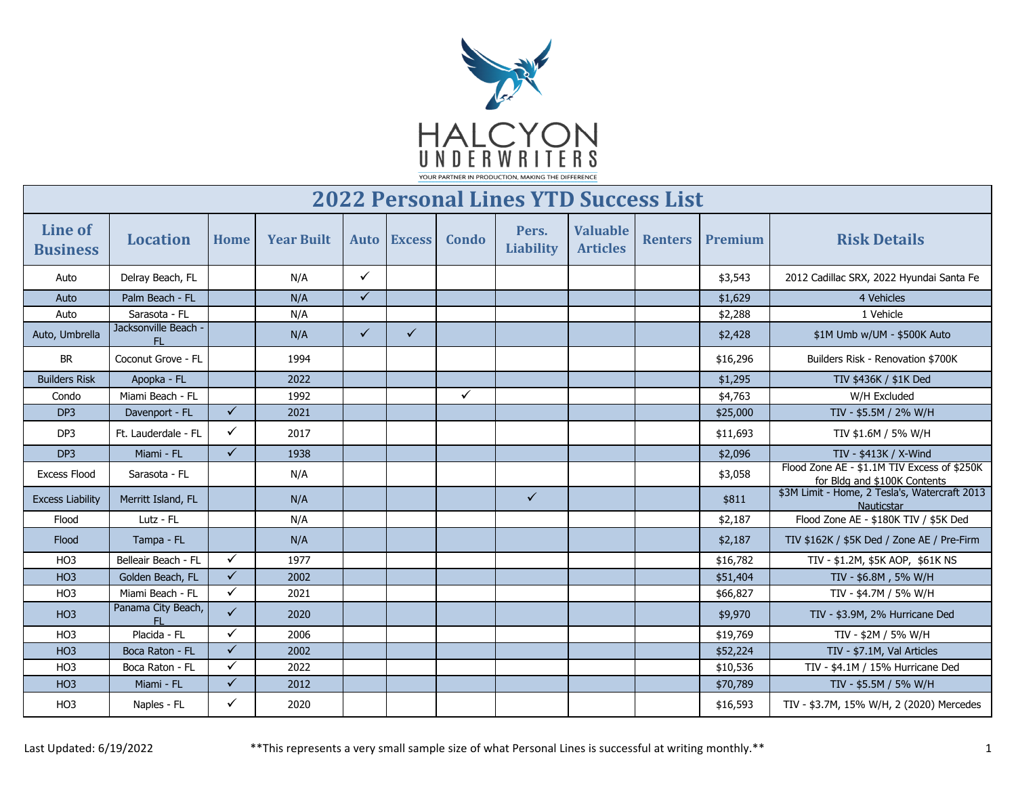

| <b>2022 Personal Lines YTD Success List</b> |                                 |              |                   |              |               |              |                           |                                    |                |          |                                                                             |
|---------------------------------------------|---------------------------------|--------------|-------------------|--------------|---------------|--------------|---------------------------|------------------------------------|----------------|----------|-----------------------------------------------------------------------------|
| Line of<br><b>Business</b>                  | <b>Location</b>                 | Home         | <b>Year Built</b> | <b>Auto</b>  | <b>Excess</b> | Condo        | Pers.<br><b>Liability</b> | <b>Valuable</b><br><b>Articles</b> | <b>Renters</b> | Premium  | <b>Risk Details</b>                                                         |
| Auto                                        | Delray Beach, FL                |              | N/A               | $\checkmark$ |               |              |                           |                                    |                | \$3,543  | 2012 Cadillac SRX, 2022 Hyundai Santa Fe                                    |
| Auto                                        | Palm Beach - FL                 |              | N/A               | $\checkmark$ |               |              |                           |                                    |                | \$1,629  | 4 Vehicles                                                                  |
| Auto                                        | Sarasota - FL                   |              | N/A               |              |               |              |                           |                                    |                | \$2,288  | 1 Vehicle                                                                   |
| Auto, Umbrella                              | Jacksonville Beach ·<br>FL.     |              | N/A               | $\checkmark$ | $\checkmark$  |              |                           |                                    |                | \$2,428  | \$1M Umb w/UM - \$500K Auto                                                 |
| <b>BR</b>                                   | Coconut Grove - FL              |              | 1994              |              |               |              |                           |                                    |                | \$16,296 | Builders Risk - Renovation \$700K                                           |
| <b>Builders Risk</b>                        | Apopka - FL                     |              | 2022              |              |               |              |                           |                                    |                | \$1,295  | TIV \$436K / \$1K Ded                                                       |
| Condo                                       | Miami Beach - FL                |              | 1992              |              |               | $\checkmark$ |                           |                                    |                | \$4,763  | W/H Excluded                                                                |
| DP <sub>3</sub>                             | Davenport - FL                  | $\checkmark$ | 2021              |              |               |              |                           |                                    |                | \$25,000 | TIV - \$5.5M / 2% W/H                                                       |
| DP3                                         | Ft. Lauderdale - FL             | $\checkmark$ | 2017              |              |               |              |                           |                                    |                | \$11,693 | TIV \$1.6M / 5% W/H                                                         |
| DP <sub>3</sub>                             | Miami - FL                      | $\checkmark$ | 1938              |              |               |              |                           |                                    |                | \$2,096  | TIV - \$413K / X-Wind                                                       |
| <b>Excess Flood</b>                         | Sarasota - FL                   |              | N/A               |              |               |              |                           |                                    |                | \$3,058  | Flood Zone AE - \$1.1M TIV Excess of \$250K<br>for Bldg and \$100K Contents |
| <b>Excess Liability</b>                     | Merritt Island, FL              |              | N/A               |              |               |              | $\checkmark$              |                                    |                | \$811    | \$3M Limit - Home, 2 Tesla's, Watercraft 2013<br>Nauticstar                 |
| Flood                                       | Lutz - FL                       |              | N/A               |              |               |              |                           |                                    |                | \$2,187  | Flood Zone AE - \$180K TIV / \$5K Ded                                       |
| Flood                                       | Tampa - FL                      |              | N/A               |              |               |              |                           |                                    |                | \$2,187  | TIV \$162K / \$5K Ded / Zone AE / Pre-Firm                                  |
| HO <sub>3</sub>                             | Belleair Beach - FL             | $\checkmark$ | 1977              |              |               |              |                           |                                    |                | \$16,782 | TIV - \$1.2M, \$5K AOP, \$61K NS                                            |
| HO <sub>3</sub>                             | Golden Beach, FL                | $\sqrt{2}$   | 2002              |              |               |              |                           |                                    |                | \$51,404 | TIV - \$6.8M, 5% W/H                                                        |
| H <sub>O</sub> 3                            | Miami Beach - FL                | $\checkmark$ | 2021              |              |               |              |                           |                                    |                | \$66,827 | TIV - \$4.7M / 5% W/H                                                       |
| HO <sub>3</sub>                             | Panama City Beach,<br><b>FL</b> | $\checkmark$ | 2020              |              |               |              |                           |                                    |                | \$9,970  | TIV - \$3.9M, 2% Hurricane Ded                                              |
| HO <sub>3</sub>                             | Placida - FL                    | $\checkmark$ | 2006              |              |               |              |                           |                                    |                | \$19,769 | TIV - \$2M / 5% W/H                                                         |
| HO <sub>3</sub>                             | Boca Raton - FL                 | $\checkmark$ | 2002              |              |               |              |                           |                                    |                | \$52,224 | TIV - \$7.1M, Val Articles                                                  |
| HO <sub>3</sub>                             | Boca Raton - FL                 | $\checkmark$ | 2022              |              |               |              |                           |                                    |                | \$10,536 | TIV - \$4.1M / 15% Hurricane Ded                                            |
| HO <sub>3</sub>                             | Miami - FL                      | $\checkmark$ | 2012              |              |               |              |                           |                                    |                | \$70,789 | TIV - \$5.5M / 5% W/H                                                       |
| HO <sub>3</sub>                             | Naples - FL                     | ✓            | 2020              |              |               |              |                           |                                    |                | \$16,593 | TIV - \$3.7M, 15% W/H, 2 (2020) Mercedes                                    |